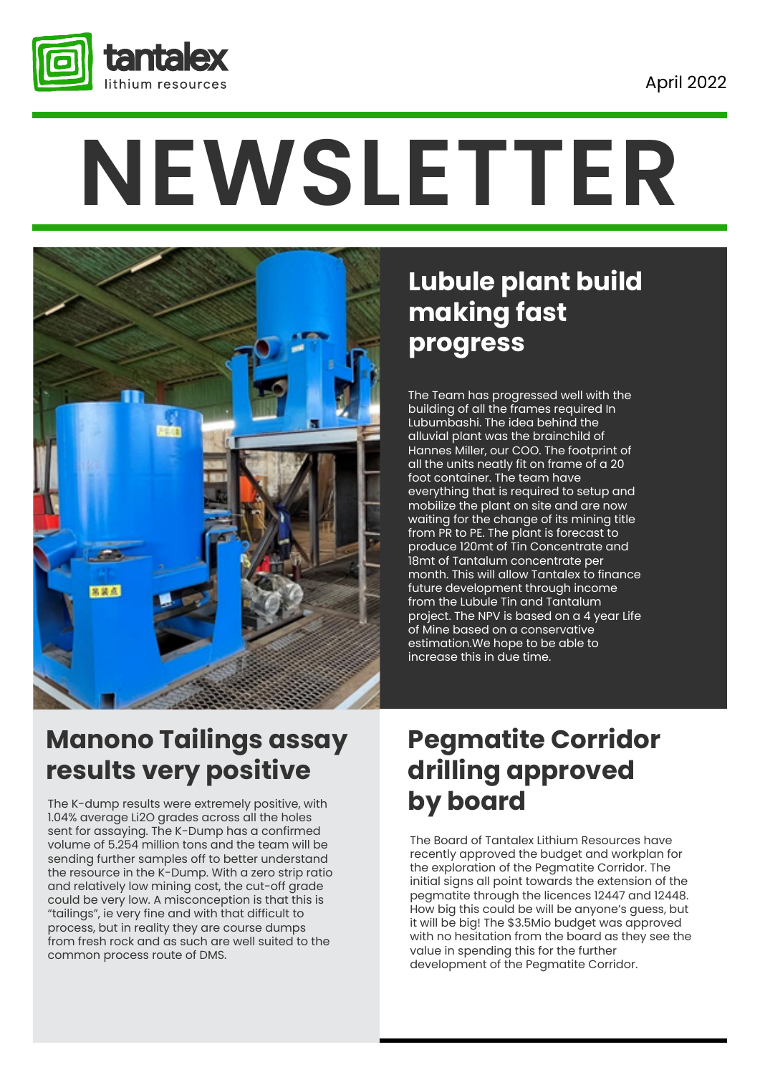

# **NEWSLETTER**



### **Lubule plant build making fast progress**

The Team has progressed well with the building of all the frames required In Lubumbashi. The idea behind the alluvial plant was the brainchild of Hannes Miller, our COO. The footprint of all the units neatly fit on frame of a 20 foot container. The team have everything that is required to setup and mobilize the plant on site and are now waiting for the change of its mining title from PR to PE. The plant is forecast to produce 120mt of Tin Concentrate and 18mt of Tantalum concentrate per month. This will allow Tantalex to finance future development through income from the Lubule Tin and Tantalum project. The NPV is based on a 4 year Life of Mine based on a conservative estimation.We hope to be able to increase this in due time.

### **Manono Tailings assay results very positive**

The K-dump results were extremely positive, with 1.04% average Li2O grades across all the holes sent for assaying. The K-Dump has a confirmed volume of 5.254 million tons and the team will be sending further samples off to better understand the resource in the K-Dump. With a zero strip ratio and relatively low mining cost, the cut-off grade could be very low. A misconception is that this is "tailings", ie very fine and with that difficult to process, but in reality they are course dumps from fresh rock and as such are well suited to the common process route of DMS.

### **Pegmatite Corridor drilling approved by board**

The Board of Tantalex Lithium Resources have recently approved the budget and workplan for the exploration of the Pegmatite Corridor. The initial signs all point towards the extension of the pegmatite through the licences 12447 and 12448. How big this could be will be anyone's guess, but it will be big! The \$3.5Mio budget was approved with no hesitation from the board as they see the value in spending this for the further development of the Pegmatite Corridor.